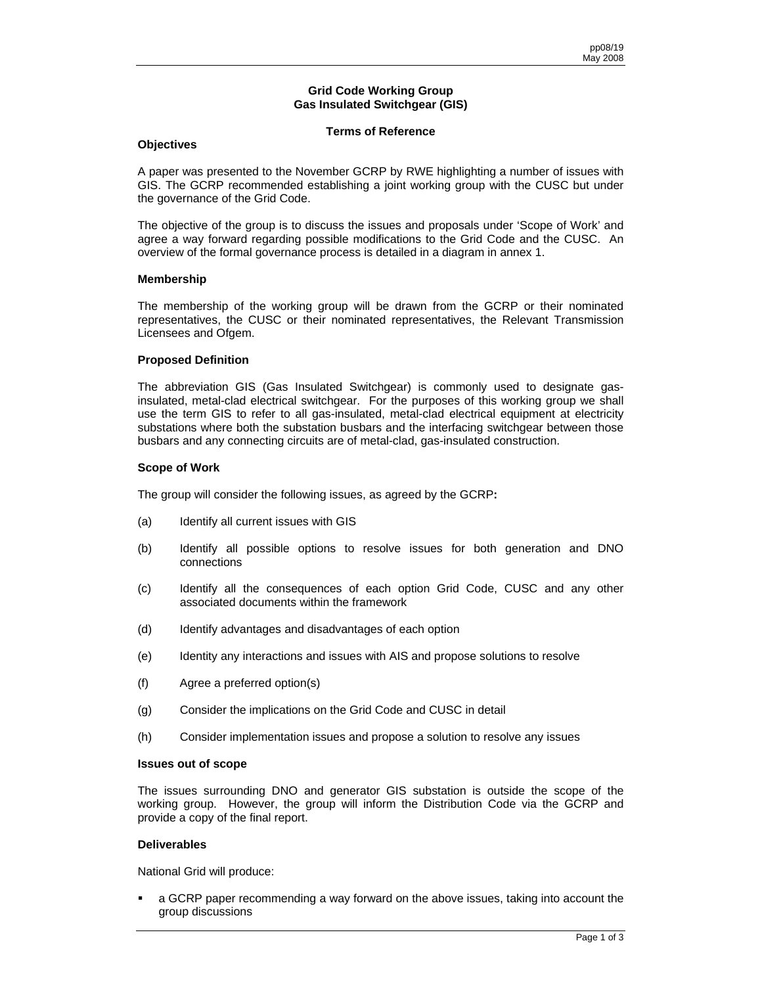#### **Grid Code Working Group Gas Insulated Switchgear (GIS)**

## **Terms of Reference**

## **Objectives**

A paper was presented to the November GCRP by RWE highlighting a number of issues with GIS. The GCRP recommended establishing a joint working group with the CUSC but under the governance of the Grid Code.

The objective of the group is to discuss the issues and proposals under 'Scope of Work' and agree a way forward regarding possible modifications to the Grid Code and the CUSC. An overview of the formal governance process is detailed in a diagram in annex 1.

## **Membership**

The membership of the working group will be drawn from the GCRP or their nominated representatives, the CUSC or their nominated representatives, the Relevant Transmission Licensees and Ofgem.

## **Proposed Definition**

The abbreviation GIS (Gas Insulated Switchgear) is commonly used to designate gasinsulated, metal-clad electrical switchgear. For the purposes of this working group we shall use the term GIS to refer to all gas-insulated, metal-clad electrical equipment at electricity substations where both the substation busbars and the interfacing switchgear between those busbars and any connecting circuits are of metal-clad, gas-insulated construction.

## **Scope of Work**

The group will consider the following issues, as agreed by the GCRP**:** 

- (a) Identify all current issues with GIS
- (b) Identify all possible options to resolve issues for both generation and DNO connections
- (c) Identify all the consequences of each option Grid Code, CUSC and any other associated documents within the framework
- (d) Identify advantages and disadvantages of each option
- (e) Identity any interactions and issues with AIS and propose solutions to resolve
- (f) Agree a preferred option(s)
- (g) Consider the implications on the Grid Code and CUSC in detail
- (h) Consider implementation issues and propose a solution to resolve any issues

## **Issues out of scope**

The issues surrounding DNO and generator GIS substation is outside the scope of the working group. However, the group will inform the Distribution Code via the GCRP and provide a copy of the final report.

## **Deliverables**

National Grid will produce:

 a GCRP paper recommending a way forward on the above issues, taking into account the group discussions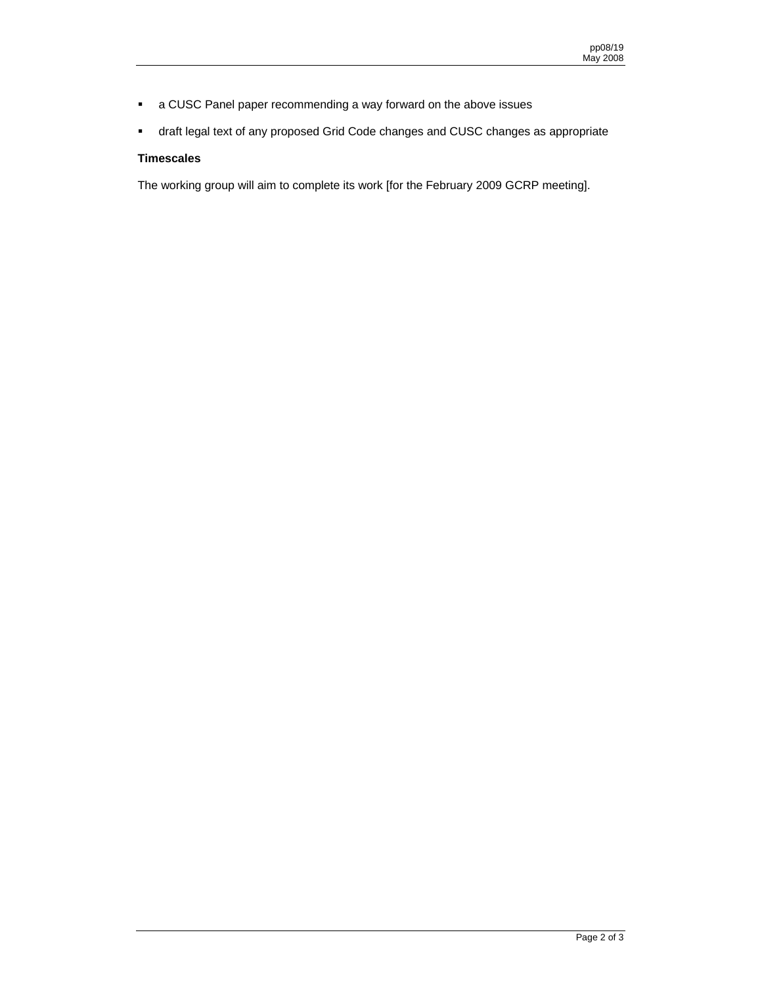- a CUSC Panel paper recommending a way forward on the above issues
- draft legal text of any proposed Grid Code changes and CUSC changes as appropriate

# **Timescales**

The working group will aim to complete its work [for the February 2009 GCRP meeting].